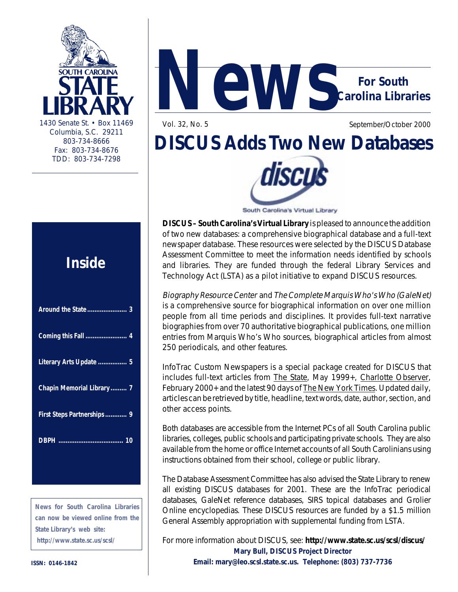

Columbia, S.C. 29211 803-734-8666 Fax: 803-734-8676 TDD: 803-734-7298

### **Inside**

| Literary Arts Update  5    |
|----------------------------|
| Chapin Memorial Library  7 |
| First Steps Partnerships 9 |
|                            |
|                            |

**News for South Carolina Libraries can now be viewed online from the State Library's web site: http://www.state.sc.us/scsl/**



Vol. 32, No. 5 September/October 2000

## **DISCUS Adds Two New Databases**



South Carolina's Virtual Library

**DISCUS – South Carolina's Virtual Library** is pleased to announce the addition of two new databases: a comprehensive biographical database and a full-text newspaper database. These resources were selected by the DISCUS Database Assessment Committee to meet the information needs identified by schools and libraries. They are funded through the federal Library Services and Technology Act (LSTA) as a pilot initiative to expand DISCUS resources.

Biography Resource Center and The Complete Marquis Who's Who (GaleNet) is a comprehensive source for biographical information on over one million people from all time periods and disciplines. It provides full-text narrative biographies from over 70 authoritative biographical publications, one million entries from Marquis Who's Who sources, biographical articles from almost 250 periodicals, and other features.

InfoTrac Custom Newspapers is a special package created for DISCUS that includes full-text articles from The State, May 1999+, Charlotte Observer, February 2000+ and the latest 90 days of The New York Times. Updated daily, articles can be retrieved by title, headline, text words, date, author, section, and other access points.

Both databases are accessible from the Internet PCs of all South Carolina public libraries, colleges, public schools and participating private schools. They are also available from the home or office Internet accounts of all South Carolinians using instructions obtained from their school, college or public library.

The Database Assessment Committee has also advised the State Library to renew all existing DISCUS databases for 2001. These are the InfoTrac periodical databases, GaleNet reference databases, SIRS topical databases and Grolier Online encyclopedias. These DISCUS resources are funded by a \$1.5 million General Assembly appropriation with supplemental funding from LSTA.

For more information about DISCUS, see: **http://www.state.sc.us/scsl/discus/ Mary Bull, DISCUS Project Director Email: mary@leo.scsl.state.sc.us. Telephone: (803) 737-7736**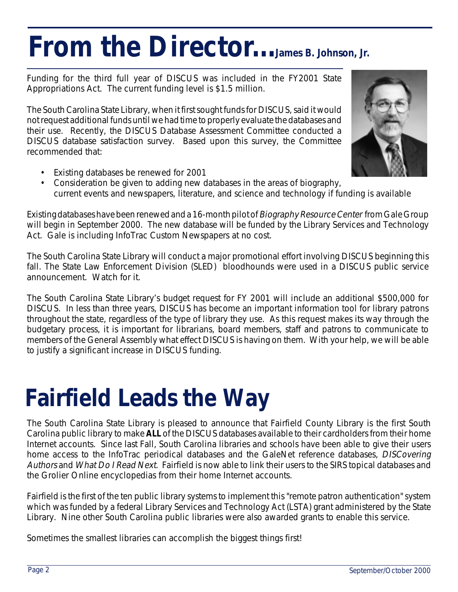# From the Director...James B. Johnson, Jr.

Funding for the third full year of DISCUS was included in the FY2001 State Appropriations Act. The current funding level is \$1.5 million.

The South Carolina State Library, when it first sought funds for DISCUS, said it would not request additional funds until we had time to properly evaluate the databases and their use. Recently, the DISCUS Database Assessment Committee conducted a DISCUS database satisfaction survey. Based upon this survey, the Committee recommended that:



- Existing databases be renewed for 2001
- Consideration be given to adding new databases in the areas of biography, current events and newspapers, literature, and science and technology if funding is available

Existing databases have been renewed and a 16-month pilot of Biography Resource Center from Gale Group will begin in September 2000. The new database will be funded by the Library Services and Technology Act. Gale is including InfoTrac Custom Newspapers at no cost.

The South Carolina State Library will conduct a major promotional effort involving DISCUS beginning this fall. The State Law Enforcement Division (SLED) bloodhounds were used in a DISCUS public service announcement. Watch for it.

The South Carolina State Library's budget request for FY 2001 will include an additional \$500,000 for DISCUS. In less than three years, DISCUS has become an important information tool for library patrons throughout the state, regardless of the type of library they use. As this request makes its way through the budgetary process, it is important for librarians, board members, staff and patrons to communicate to members of the General Assembly what effect DISCUS is having on them. With your help, we will be able to justify a significant increase in DISCUS funding.

## **Fairfield Leads the Way**

The South Carolina State Library is pleased to announce that Fairfield County Library is the first South Carolina public library to make **ALL** of the DISCUS databases available to their cardholders from their home Internet accounts. Since last Fall, South Carolina libraries and schools have been able to give their users home access to the InfoTrac periodical databases and the GaleNet reference databases, DISCovering Authors and What Do I Read Next. Fairfield is now able to link their users to the SIRS topical databases and the Grolier Online encyclopedias from their home Internet accounts.

Fairfield is the first of the ten public library systems to implement this "remote patron authentication" system which was funded by a federal Library Services and Technology Act (LSTA) grant administered by the State Library. Nine other South Carolina public libraries were also awarded grants to enable this service.

Sometimes the smallest libraries can accomplish the biggest things first!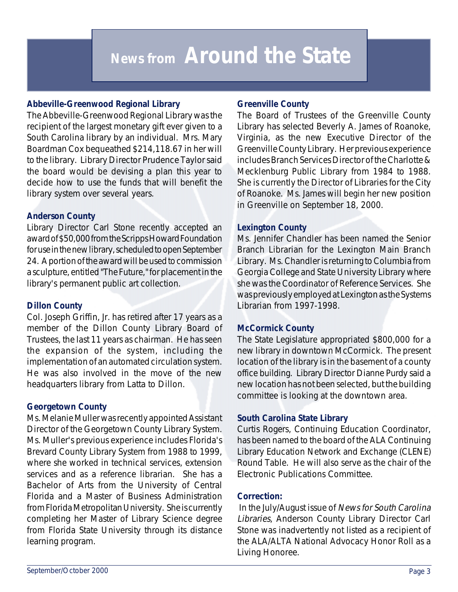### **News from Around the State**

### **Abbeville-Greenwood Regional Library**

The Abbeville-Greenwood Regional Library was the recipient of the largest monetary gift ever given to a South Carolina library by an individual. Mrs. Mary Boardman Cox bequeathed \$214,118.67 in her will to the library. Library Director Prudence Taylor said the board would be devising a plan this year to decide how to use the funds that will benefit the library system over several years.

### **Anderson County**

Library Director Carl Stone recently accepted an award of \$50,000 from the Scripps Howard Foundation for use in the new library, scheduled to open September 24. A portion of the award will be used to commission a sculpture, entitled "The Future," for placement in the library's permanent public art collection.

#### **Dillon County**

Col. Joseph Griffin, Jr. has retired after 17 years as a member of the Dillon County Library Board of Trustees, the last 11 years as chairman. He has seen the expansion of the system, including the implementation of an automated circulation system. He was also involved in the move of the new headquarters library from Latta to Dillon.

### **Georgetown County**

Ms. Melanie Muller was recently appointed Assistant Director of the Georgetown County Library System. Ms. Muller's previous experience includes Florida's Brevard County Library System from 1988 to 1999, where she worked in technical services, extension services and as a reference librarian. She has a Bachelor of Arts from the University of Central Florida and a Master of Business Administration from Florida Metropolitan University. She is currently completing her Master of Library Science degree from Florida State University through its distance learning program.

### **Greenville County**

The Board of Trustees of the Greenville County Library has selected Beverly A. James of Roanoke, Virginia, as the new Executive Director of the Greenville County Library. Her previous experience includes Branch Services Director of the Charlotte & Mecklenburg Public Library from 1984 to 1988. She is currently the Director of Libraries for the City of Roanoke. Ms. James will begin her new position in Greenville on September 18, 2000.

#### **Lexington County**

Ms. Jennifer Chandler has been named the Senior Branch Librarian for the Lexington Main Branch Library. Ms. Chandler is returning to Columbia from Georgia College and State University Library where she was the Coordinator of Reference Services. She was previously employed at Lexington as the Systems Librarian from 1997-1998.

### **McCormick County**

The State Legislature appropriated \$800,000 for a new library in downtown McCormick. The present location of the library is in the basement of a county office building. Library Director Dianne Purdy said a new location has not been selected, but the building committee is looking at the downtown area.

### **South Carolina State Library**

Curtis Rogers, Continuing Education Coordinator, has been named to the board of the ALA Continuing Library Education Network and Exchange (CLENE) Round Table. He will also serve as the chair of the Electronic Publications Committee.

### **Correction:**

 In the July/August issue of News for South Carolina Libraries, Anderson County Library Director Carl Stone was inadvertently not listed as a recipient of the ALA/ALTA National Advocacy Honor Roll as a Living Honoree.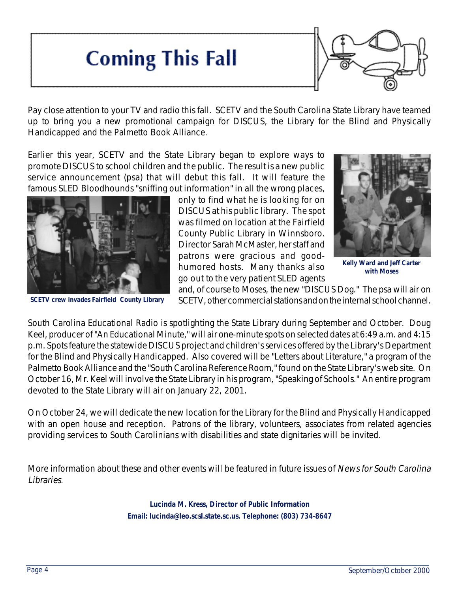### **Coming This Fall**



Pay close attention to your TV and radio this fall. SCETV and the South Carolina State Library have teamed up to bring you a new promotional campaign for DISCUS, the Library for the Blind and Physically Handicapped and the Palmetto Book Alliance.

Earlier this year, SCETV and the State Library began to explore ways to promote DISCUS to school children and the public. The result is a new public service announcement (psa) that will debut this fall. It will feature the famous SLED Bloodhounds "sniffing out information" in all the wrong places,



**SCETV crew invades Fairfield County Library**

only to find what he is looking for on DISCUS at his public library. The spot was filmed on location at the Fairfield County Public Library in Winnsboro. Director Sarah McMaster, her staff and patrons were gracious and goodhumored hosts. Many thanks also go out to the very patient SLED agents



**Kelly Ward and Jeff Carter with Moses**

and, of course to Moses, the new "DISCUS Dog." The psa will air on SCETV, other commercial stations and on the internal school channel.

South Carolina Educational Radio is spotlighting the State Library during September and October. Doug Keel, producer of "An Educational Minute," will air one-minute spots on selected dates at 6:49 a.m. and 4:15 p.m. Spots feature the statewide DISCUS project and children's services offered by the Library's Department for the Blind and Physically Handicapped. Also covered will be "Letters about Literature," a program of the Palmetto Book Alliance and the "South Carolina Reference Room," found on the State Library's web site. On October 16, Mr. Keel will involve the State Library in his program, "Speaking of Schools." An entire program devoted to the State Library will air on January 22, 2001.

On October 24, we will dedicate the new location for the Library for the Blind and Physically Handicapped with an open house and reception. Patrons of the library, volunteers, associates from related agencies providing services to South Carolinians with disabilities and state dignitaries will be invited.

More information about these and other events will be featured in future issues of News for South Carolina Libraries.

> **Lucinda M. Kress, Director of Public Information Email: lucinda@leo.scsl.state.sc.us. Telephone: (803) 734-8647**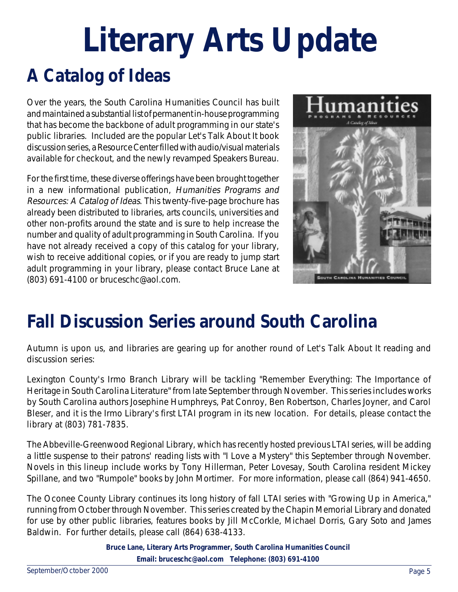## **A Catalog of Ideas Literary Arts Update**

Over the years, the South Carolina Humanities Council has built and maintained a substantial list of permanent in-house programming that has become the backbone of adult programming in our state's public libraries. Included are the popular Let's Talk About It book discussion series, a Resource Center filled with audio/visual materials available for checkout, and the newly revamped Speakers Bureau.

For the first time, these diverse offerings have been brought together in a new informational publication, Humanities Programs and Resources: A Catalog of Ideas. This twenty-five-page brochure has already been distributed to libraries, arts councils, universities and other non-profits around the state and is sure to help increase the number and quality of adult programming in South Carolina. If you have not already received a copy of this catalog for your library, wish to receive additional copies, or if you are ready to jump start adult programming in your library, please contact Bruce Lane at (803) 691-4100 or bruceschc@aol.com.



### **Fall Discussion Series around South Carolina**

Autumn is upon us, and libraries are gearing up for another round of Let's Talk About It reading and discussion series:

Lexington County's Irmo Branch Library will be tackling "Remember Everything: The Importance of Heritage in South Carolina Literature" from late September through November. This series includes works by South Carolina authors Josephine Humphreys, Pat Conroy, Ben Robertson, Charles Joyner, and Carol Bleser, and it is the Irmo Library's first LTAI program in its new location. For details, please contact the library at (803) 781-7835.

The Abbeville-Greenwood Regional Library, which has recently hosted previous LTAI series, will be adding a little suspense to their patrons' reading lists with "I Love a Mystery" this September through November. Novels in this lineup include works by Tony Hillerman, Peter Lovesay, South Carolina resident Mickey Spillane, and two "Rumpole" books by John Mortimer. For more information, please call (864) 941-4650.

The Oconee County Library continues its long history of fall LTAI series with "Growing Up in America," running from October through November. This series created by the Chapin Memorial Library and donated for use by other public libraries, features books by Jill McCorkle, Michael Dorris, Gary Soto and James Baldwin. For further details, please call (864) 638-4133.

> **Bruce Lane, Literary Arts Programmer, South Carolina Humanities Council Email: bruceschc@aol.com Telephone: (803) 691-4100**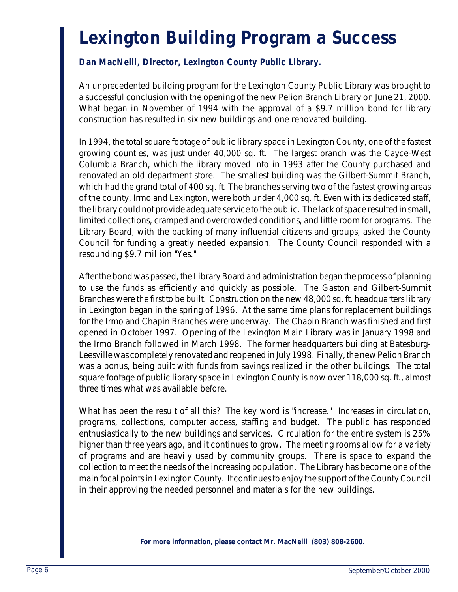### **Lexington Building Program a Success**

### **Dan MacNeill, Director, Lexington County Public Library.**

An unprecedented building program for the Lexington County Public Library was brought to a successful conclusion with the opening of the new Pelion Branch Library on June 21, 2000. What began in November of 1994 with the approval of a \$9.7 million bond for library construction has resulted in six new buildings and one renovated building.

In 1994, the total square footage of public library space in Lexington County, one of the fastest growing counties, was just under 40,000 sq. ft. The largest branch was the Cayce-West Columbia Branch, which the library moved into in 1993 after the County purchased and renovated an old department store. The smallest building was the Gilbert-Summit Branch, which had the grand total of 400 sq. ft. The branches serving two of the fastest growing areas of the county, Irmo and Lexington, were both under 4,000 sq. ft. Even with its dedicated staff, the library could not provide adequate service to the public. The lack of space resulted in small, limited collections, cramped and overcrowded conditions, and little room for programs. The Library Board, with the backing of many influential citizens and groups, asked the County Council for funding a greatly needed expansion. The County Council responded with a resounding \$9.7 million "Yes."

After the bond was passed, the Library Board and administration began the process of planning to use the funds as efficiently and quickly as possible. The Gaston and Gilbert-Summit Branches were the first to be built. Construction on the new 48,000 sq. ft. headquarters library in Lexington began in the spring of 1996. At the same time plans for replacement buildings for the Irmo and Chapin Branches were underway. The Chapin Branch was finished and first opened in October 1997. Opening of the Lexington Main Library was in January 1998 and the Irmo Branch followed in March 1998. The former headquarters building at Batesburg-Leesville was completely renovated and reopened in July 1998. Finally, the new Pelion Branch was a bonus, being built with funds from savings realized in the other buildings. The total square footage of public library space in Lexington County is now over 118,000 sq. ft., almost three times what was available before.

What has been the result of all this? The key word is "increase." Increases in circulation, programs, collections, computer access, staffing and budget. The public has responded enthusiastically to the new buildings and services. Circulation for the entire system is 25% higher than three years ago, and it continues to grow. The meeting rooms allow for a variety of programs and are heavily used by community groups. There is space to expand the collection to meet the needs of the increasing population. The Library has become one of the main focal points in Lexington County. It continues to enjoy the support of the County Council in their approving the needed personnel and materials for the new buildings.

**For more information, please contact Mr. MacNeill (803) 808-2600.**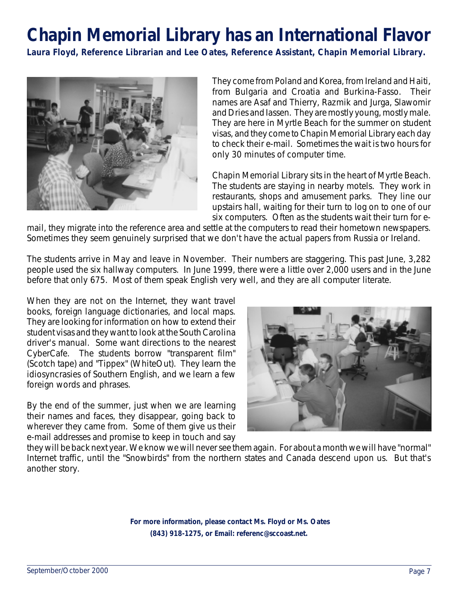### **Chapin Memorial Library has an International Flavor**

**Laura Floyd, Reference Librarian and Lee Oates, Reference Assistant, Chapin Memorial Library.**



They come from Poland and Korea, from Ireland and Haiti, from Bulgaria and Croatia and Burkina-Fasso. Their names are Asaf and Thierry, Razmik and Jurga, Slawomir and Dries and Iassen. They are mostly young, mostly male. They are here in Myrtle Beach for the summer on student visas, and they come to Chapin Memorial Library each day to check their e-mail. Sometimes the wait is two hours for only 30 minutes of computer time.

Chapin Memorial Library sits in the heart of Myrtle Beach. The students are staying in nearby motels. They work in restaurants, shops and amusement parks. They line our upstairs hall, waiting for their turn to log on to one of our six computers. Often as the students wait their turn for e-

mail, they migrate into the reference area and settle at the computers to read their hometown newspapers. Sometimes they seem genuinely surprised that we don't have the actual papers from Russia or Ireland.

The students arrive in May and leave in November. Their numbers are staggering. This past June, 3,282 people used the six hallway computers. In June 1999, there were a little over 2,000 users and in the June before that only 675. Most of them speak English very well, and they are all computer literate.

When they are not on the Internet, they want travel books, foreign language dictionaries, and local maps. They are looking for information on how to extend their student visas and they want to look at the South Carolina driver's manual. Some want directions to the nearest CyberCafe. The students borrow "transparent film" (Scotch tape) and "Tippex" (WhiteOut). They learn the idiosyncrasies of Southern English, and we learn a few foreign words and phrases.

By the end of the summer, just when we are learning their names and faces, they disappear, going back to wherever they came from. Some of them give us their e-mail addresses and promise to keep in touch and say



they will be back next year. We know we will never see them again. For about a month we will have "normal" Internet traffic, until the "Snowbirds" from the northern states and Canada descend upon us. But that's another story.

> **For more information, please contact Ms. Floyd or Ms. Oates (843) 918-1275, or Email: referenc@sccoast.net.**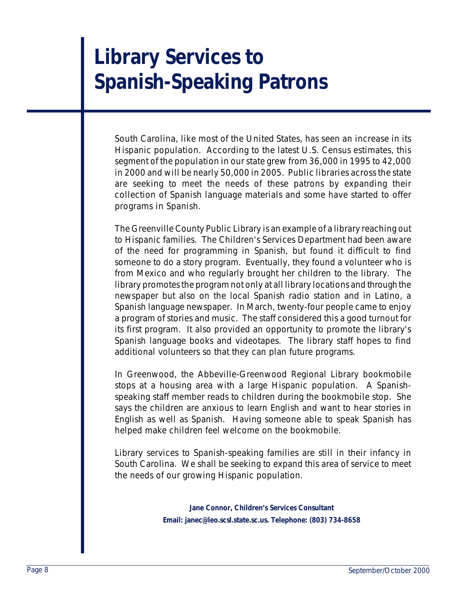### **Library Services to Spanish-Speaking Patrons**

South Carolina, like most of the United States, has seen an increase in its Hispanic population. According to the latest U.S. Census estimates, this segment of the population in our state grew from 36,000 in 1995 to 42,000 in 2000 and will be nearly 50,000 in 2005. Public libraries across the state are seeking to meet the needs of these patrons by expanding their collection of Spanish language materials and some have started to offer programs in Spanish.

The Greenville County Public Library is an example of a library reaching out to Hispanic families. The Children's Services Department had been aware of the need for programming in Spanish, but found it difficult to find someone to do a story program. Eventually, they found a volunteer who is from Mexico and who regularly brought her children to the library. The library promotes the program not only at all library locations and through the newspaper but also on the local Spanish radio station and in Latino, a Spanish language newspaper. In March, twenty-four people came to enjoy a program of stories and music. The staff considered this a good turnout for its first program. It also provided an opportunity to promote the library's Spanish language books and videotapes. The library staff hopes to find additional volunteers so that they can plan future programs.

In Greenwood, the Abbeville-Greenwood Regional Library bookmobile stops at a housing area with a large Hispanic population. A Spanishspeaking staff member reads to children during the bookmobile stop. She says the children are anxious to learn English and want to hear stories in English as well as Spanish. Having someone able to speak Spanish has helped make children feel welcome on the bookmobile.

Library services to Spanish-speaking families are still in their infancy in South Carolina. We shall be seeking to expand this area of service to meet the needs of our growing Hispanic population.

> **Jane Connor, Children's Services Consultant Email: janec@leo.scsl.state.sc.us. Telephone: (803) 734-8658**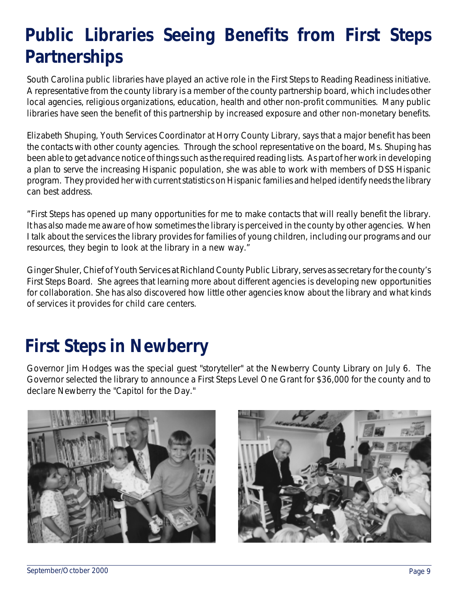### **Public Libraries Seeing Benefits from First Steps Partnerships**

South Carolina public libraries have played an active role in the First Steps to Reading Readiness initiative. A representative from the county library is a member of the county partnership board, which includes other local agencies, religious organizations, education, health and other non-profit communities. Many public libraries have seen the benefit of this partnership by increased exposure and other non-monetary benefits.

Elizabeth Shuping, Youth Services Coordinator at Horry County Library, says that a major benefit has been the contacts with other county agencies. Through the school representative on the board, Ms. Shuping has been able to get advance notice of things such as the required reading lists. As part of her work in developing a plan to serve the increasing Hispanic population, she was able to work with members of DSS Hispanic program. They provided her with current statistics on Hispanic families and helped identify needs the library can best address.

"First Steps has opened up many opportunities for me to make contacts that will really benefit the library. It has also made me aware of how sometimes the library is perceived in the county by other agencies. When I talk about the services the library provides for families of young children, including our programs and our resources, they begin to look at the library in a new way."

Ginger Shuler, Chief of Youth Services at Richland County Public Library, serves as secretary for the county's First Steps Board. She agrees that learning more about different agencies is developing new opportunities for collaboration. She has also discovered how little other agencies know about the library and what kinds of services it provides for child care centers.

### **First Steps in Newberry**

Governor Jim Hodges was the special guest "storyteller" at the Newberry County Library on July 6. The Governor selected the library to announce a First Steps Level One Grant for \$36,000 for the county and to declare Newberry the "Capitol for the Day."



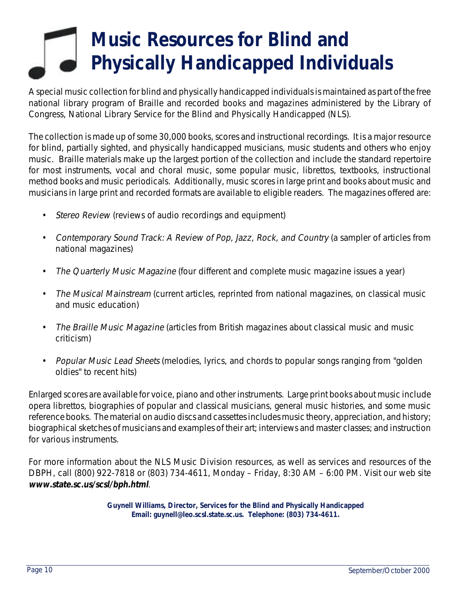### **Music Resources for Blind and Physically Handicapped Individuals**

A special music collection for blind and physically handicapped individuals is maintained as part of the free national library program of Braille and recorded books and magazines administered by the Library of Congress, National Library Service for the Blind and Physically Handicapped (NLS).

The collection is made up of some 30,000 books, scores and instructional recordings. It is a major resource for blind, partially sighted, and physically handicapped musicians, music students and others who enjoy music. Braille materials make up the largest portion of the collection and include the standard repertoire for most instruments, vocal and choral music, some popular music, librettos, textbooks, instructional method books and music periodicals. Additionally, music scores in large print and books about music and musicians in large print and recorded formats are available to eligible readers. The magazines offered are:

- Stereo Review (reviews of audio recordings and equipment)
- Contemporary Sound Track: A Review of Pop, Jazz, Rock, and Country (a sampler of articles from national magazines)
- The Quarterly Music Magazine (four different and complete music magazine issues a year)
- The Musical Mainstream (current articles, reprinted from national magazines, on classical music and music education)
- The Braille Music Magazine (articles from British magazines about classical music and music criticism)
- Popular Music Lead Sheets (melodies, lyrics, and chords to popular songs ranging from "golden" oldies" to recent hits)

Enlarged scores are available for voice, piano and other instruments. Large print books about music include opera librettos, biographies of popular and classical musicians, general music histories, and some music reference books. The material on audio discs and cassettes includes music theory, appreciation, and history; biographical sketches of musicians and examples of their art; interviews and master classes; and instruction for various instruments.

For more information about the NLS Music Division resources, as well as services and resources of the DBPH, call (800) 922-7818 or (803) 734-4611, Monday – Friday, 8:30 AM – 6:00 PM. Visit our web site **www.state.sc.us/scsl/bph.html**.

> **Guynell Williams, Director, Services for the Blind and Physically Handicapped Email: guynell@leo.scsl.state.sc.us. Telephone: (803) 734-4611.**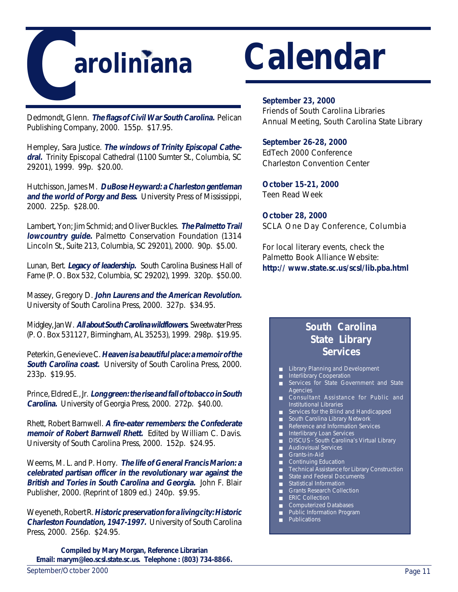

Dedmondt, Glenn. **The flags of Civil War South Carolina.** Pelican Publishing Company, 2000. 155p. \$17.95.

Hempley, Sara Justice. **The windows of Trinity Episcopal Cathedral.** Trinity Episcopal Cathedral (1100 Sumter St., Columbia, SC 29201), 1999. 99p. \$20.00.

Hutchisson, James M. **DuBose Heyward: a Charleston gentleman and the world of Porgy and Bess.** University Press of Mississippi, 2000. 225p. \$28.00.

Lambert, Yon; Jim Schmid; and Oliver Buckles. **The Palmetto Trail lowcountry guide.** Palmetto Conservation Foundation (1314 Lincoln St., Suite 213, Columbia, SC 29201), 2000. 90p. \$5.00.

Lunan, Bert. **Legacy of leadership.** South Carolina Business Hall of Fame (P. O. Box 532, Columbia, SC 29202), 1999. 320p. \$50.00.

Massey, Gregory D. **John Laurens and the American Revolution.** University of South Carolina Press, 2000. 327p. \$34.95.

Midgley, Jan W. **All about South Carolina wildflowers.** Sweetwater Press (P. O. Box 531127, Birmingham, AL 35253), 1999. 298p. \$19.95.

Peterkin, Genevieve C. **Heaven is a beautiful place: a memoir of the South Carolina coast.** University of South Carolina Press, 2000. 233p. \$19.95.

Prince, Eldred E., Jr. **Long green: the rise and fall of tobacco in South Carolina.** University of Georgia Press, 2000. 272p. \$40.00.

Rhett, Robert Barnwell. **A fire-eater remembers: the Confederate memoir of Robert Barnwell Rhett.** Edited by William C. Davis. University of South Carolina Press, 2000. 152p. \$24.95.

Weems, M. L. and P. Horry. **The life of General Francis Marion: a celebrated partisan officer in the revolutionary war against the British and Tories in South Carolina and Georgia.** John F. Blair Publisher, 2000. (Reprint of 1809 ed.) 240p. \$9.95.

Weyeneth, Robert R. **Historic preservation for a living city: Historic Charleston Foundation, 1947-1997.** University of South Carolina Press, 2000. 256p. \$24.95.

**Compiled by Mary Morgan, Reference Librarian Email: marym@leo.scsl.state.sc.us. Telephone : (803) 734-8866.**

#### **September 23, 2000**

Friends of South Carolina Libraries Annual Meeting, South Carolina State Library

#### **September 26-28, 2000**

EdTech 2000 Conference Charleston Convention Center

**October 15-21, 2000** Teen Read Week

**October 28, 2000** SCLA One Day Conference, Columbia

For local literary events, check the Palmetto Book Alliance Website: **http:// www.state.sc.us/scsl/lib.pba.html**

### **South Carolina State Library Services**

- Library Planning and Development
- Interlibrary Cooperation
- Services for State Government and State Agencies
- Consultant Assistance for Public and Institutional Libraries
- Services for the Blind and Handicapped
- South Carolina Library Network
- Reference and Information Services
- Interlibrary Loan Services
- DISCUS South Carolina's Virtual Library
- Audiovisual Services
- Grants-in-Aid
- Continuing Education
- Technical Assistance for Library Construction
- <del>Rochmoder</del><br>■ State and Federal Documents
- Statistical Information
- Grants Research Collection
- ERIC Collection
- Computerized Databases Public Information Program
- 
- Publications